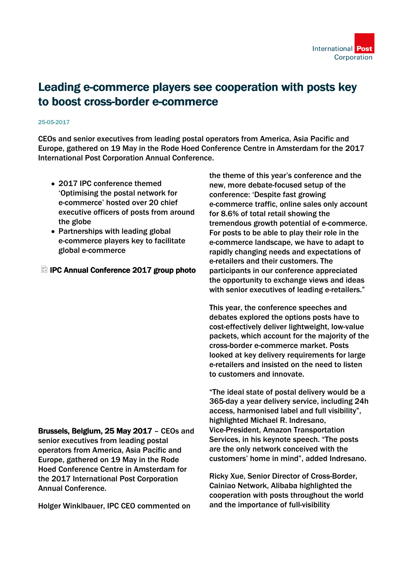

# Leading e-commerce players see cooperation with posts key to boost cross-border e-commerce

#### 25-05-2017

CEOs and senior executives from leading postal operators from America, Asia Pacific and Europe, gathered on 19 May in the Rode Hoed Conference Centre in Amsterdam for the 2017 International Post Corporation Annual Conference.

- 2017 IPC conference themed 'Optimising the postal network for e-commerce' hosted over 20 chief executive officers of posts from around the globe
- Partnerships with leading global e-commerce players key to facilitate global e-commerce

IPC Annual Conference 2017 group photo

Brussels, Belgium, 25 May 2017 – CEOs and senior executives from leading postal operators from America, Asia Pacific and Europe, gathered on 19 May in the Rode Hoed Conference Centre in Amsterdam for the 2017 International Post Corporation Annual Conference.

Holger Winklbauer, IPC CEO commented on

the theme of this year's conference and the new, more debate-focused setup of the conference: 'Despite fast growing e-commerce traffic, online sales only account for 8.6% of total retail showing the tremendous growth potential of e-commerce. For posts to be able to play their role in the e-commerce landscape, we have to adapt to rapidly changing needs and expectations of e-retailers and their customers. The participants in our conference appreciated the opportunity to exchange views and ideas with senior executives of leading e-retailers."

This year, the conference speeches and debates explored the options posts have to cost-effectively deliver lightweight, low-value packets, which account for the majority of the cross-border e-commerce market. Posts looked at key delivery requirements for large e-retailers and insisted on the need to listen to customers and innovate.

"The ideal state of postal delivery would be a 365-day a year delivery service, including 24h access, harmonised label and full visibility", highlighted Michael R. Indresano, Vice-President, Amazon Transportation Services, in his keynote speech. "The posts are the only network conceived with the customers' home in mind", added Indresano.

Ricky Xue, Senior Director of Cross-Border, Cainiao Network, Alibaba highlighted the cooperation with posts throughout the world and the importance of full-visibility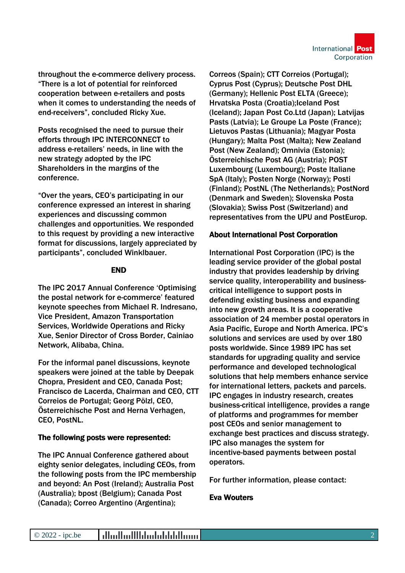throughout the e-commerce delivery process. "There is a lot of potential for reinforced cooperation between e-retailers and posts when it comes to understanding the needs of end-receivers", concluded Ricky Xue.

Posts recognised the need to pursue their efforts through IPC INTERCONNECT to address e-retailers' needs, in line with the new strategy adopted by the IPC Shareholders in the margins of the conference.

"Over the years, CEO's participating in our conference expressed an interest in sharing experiences and discussing common challenges and opportunities. We responded to this request by providing a new interactive format for discussions, largely appreciated by participants", concluded Winklbauer.

### END

The IPC 2017 Annual Conference 'Optimising the postal network for e-commerce' featured keynote speeches from Michael R. Indresano, Vice President, Amazon Transportation Services, Worldwide Operations and Ricky Xue, Senior Director of Cross Border, Cainiao Network, Alibaba, China.

For the informal panel discussions, keynote speakers were joined at the table by Deepak Chopra, President and CEO, Canada Post; Francisco de Lacerda, Chairman and CEO, CTT Correios de Portugal; Georg Pölzl, CEO, Österreichische Post and Herna Verhagen, CEO, PostNL.

### The following posts were represented:

The IPC Annual Conference gathered about eighty senior delegates, including CEOs, from the following posts from the IPC membership and beyond: An Post (Ireland); Australia Post (Australia); bpost (Belgium); Canada Post (Canada); Correo Argentino (Argentina);

Correos (Spain); CTT Correios (Portugal); Cyprus Post (Cyprus); Deutsche Post DHL (Germany); Hellenic Post ELTA (Greece); Hrvatska Posta (Croatia);Iceland Post (Iceland); Japan Post Co.Ltd (Japan); Latvijas Pasts (Latvia); Le Groupe La Poste (France); Lietuvos Pastas (Lithuania); Magyar Posta (Hungary); Malta Post (Malta); New Zealand Post (New Zealand); Omnivia (Estonia); Österreichische Post AG (Austria); POST Luxembourg (Luxembourg); Poste Italiane SpA (Italy); Posten Norge (Norway); Posti (Finland); PostNL (The Netherlands); PostNord (Denmark and Sweden); Slovenska Posta (Slovakia); Swiss Post (Switzerland) and representatives from the UPU and PostEurop.

## About International Post Corporation

International Post Corporation (IPC) is the leading service provider of the global postal industry that provides leadership by driving service quality, interoperability and businesscritical intelligence to support posts in defending existing business and expanding into new growth areas. It is a cooperative association of 24 member postal operators in Asia Pacific, Europe and North America. IPC's solutions and services are used by over 180 posts worldwide. Since 1989 IPC has set standards for upgrading quality and service performance and developed technological solutions that help members enhance service for international letters, packets and parcels. IPC engages in industry research, creates business-critical intelligence, provides a range of platforms and programmes for member post CEOs and senior management to exchange best practices and discuss strategy. IPC also manages the system for incentive-based payments between postal operators.

For further information, please contact:

### Eva Wouters